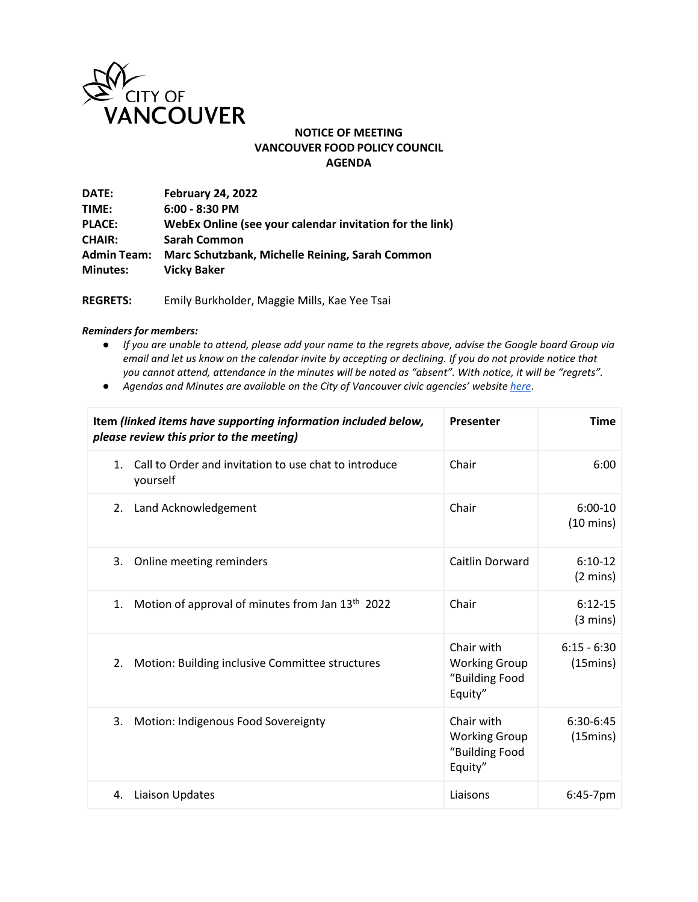

## **NOTICE OF MEETING VANCOUVER FOOD POLICY COUNCIL AGENDA**

| DATE:              | <b>February 24, 2022</b>                                 |
|--------------------|----------------------------------------------------------|
| TIME:              | $6:00 - 8:30$ PM                                         |
| <b>PLACE:</b>      | WebEx Online (see your calendar invitation for the link) |
| <b>CHAIR:</b>      | <b>Sarah Common</b>                                      |
| <b>Admin Team:</b> | Marc Schutzbank, Michelle Reining, Sarah Common          |
| <b>Minutes:</b>    | <b>Vicky Baker</b>                                       |

**REGRETS:** Emily Burkholder, Maggie Mills, Kae Yee Tsai

## *Reminders for members:*

- *If you are unable to attend, please add your name to the regrets above, advise the Google board Group via email and let us know on the calendar invite by accepting or declining. If you do not provide notice that you cannot attend, attendance in the minutes will be noted as "absent". With notice, it will be "regrets".*
- *Agendas and Minutes are available on the City of Vancouver civic agencies' websit[e here](http://vancouver.ca/your-government/advisory-boards-and-committees.aspx)*.

| Item (linked items have supporting information included below,<br>please review this prior to the meeting) | Presenter                                                       | <b>Time</b>                         |
|------------------------------------------------------------------------------------------------------------|-----------------------------------------------------------------|-------------------------------------|
| Call to Order and invitation to use chat to introduce<br>1.<br>yourself                                    | Chair                                                           | 6:00                                |
| Land Acknowledgement<br>2.                                                                                 | Chair                                                           | $6:00-10$<br>$(10 \text{ mins})$    |
| 3.<br>Online meeting reminders                                                                             | Caitlin Dorward                                                 | $6:10-12$<br>$(2 \text{ mins})$     |
| Motion of approval of minutes from Jan 13 <sup>th</sup> 2022<br>1.                                         | Chair                                                           | $6:12-15$<br>$(3 \text{ mins})$     |
| 2.<br>Motion: Building inclusive Committee structures                                                      | Chair with<br><b>Working Group</b><br>"Building Food<br>Equity" | $6:15 - 6:30$<br>$(15 \text{mins})$ |
| 3.<br>Motion: Indigenous Food Sovereignty                                                                  | Chair with<br><b>Working Group</b><br>"Building Food<br>Equity" | 6:30-6:45<br>$(15 \text{mins})$     |
| Liaison Updates<br>4.                                                                                      | Liaisons                                                        | $6:45-7$ pm                         |